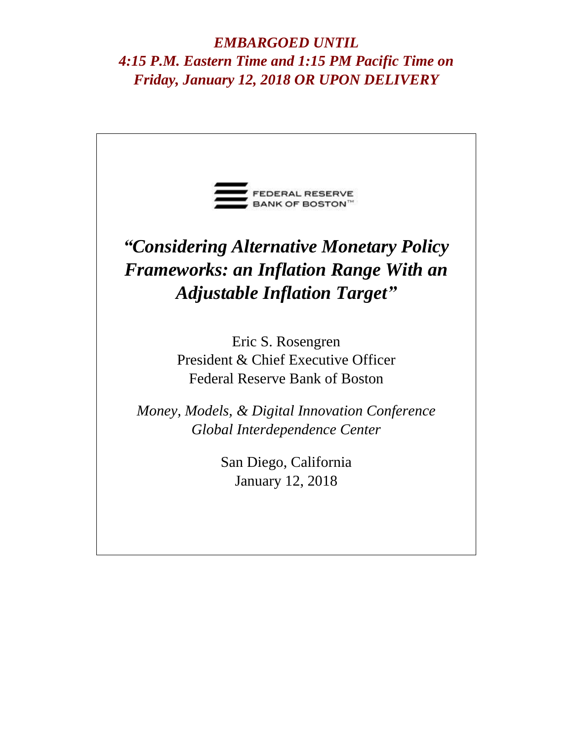*EMBARGOED UNTIL 4:15 P.M. Eastern Time and 1:15 PM Pacific Time on Friday, January 12, 2018 OR UPON DELIVERY*

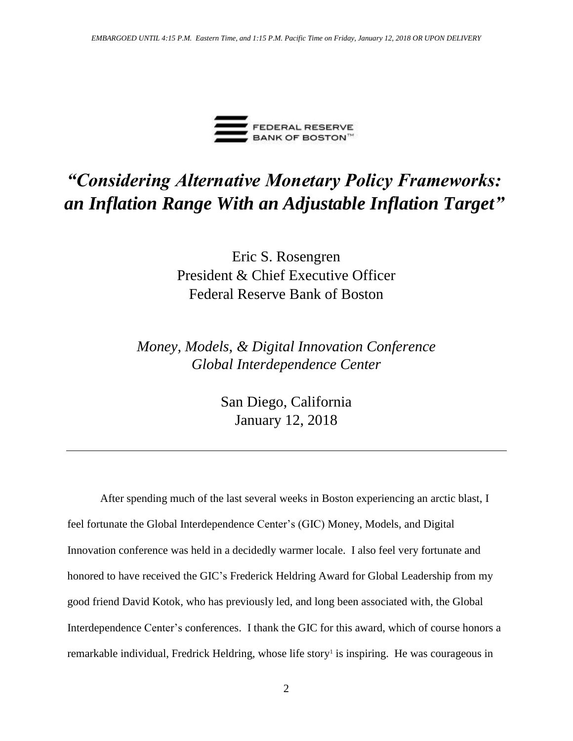

## *"Considering Alternative Monetary Policy Frameworks: an Inflation Range With an Adjustable Inflation Target"*

Eric S. Rosengren President & Chief Executive Officer Federal Reserve Bank of Boston

*Global Interdependence Center Money, Models, & Digital Innovation Conference*

> San Diego, California January 12, 2018

After spending much of the last several weeks in Boston experiencing an arctic blast, I feel fortunate the Global Interdependence Center's (GIC) Money, Models, and Digital Innovation conference was held in a decidedly warmer locale. I also feel very fortunate and honored to have received the GIC's Frederick Heldring Award for Global Leadership from my good friend David Kotok, who has previously led, and long been associated with, the Global Interdependence Center's conferences. I thank the GIC for this award, which of course honors a remarkable individual, Fredrick Heldring, whose life story<sup>1</sup> is inspiring. He was courageous in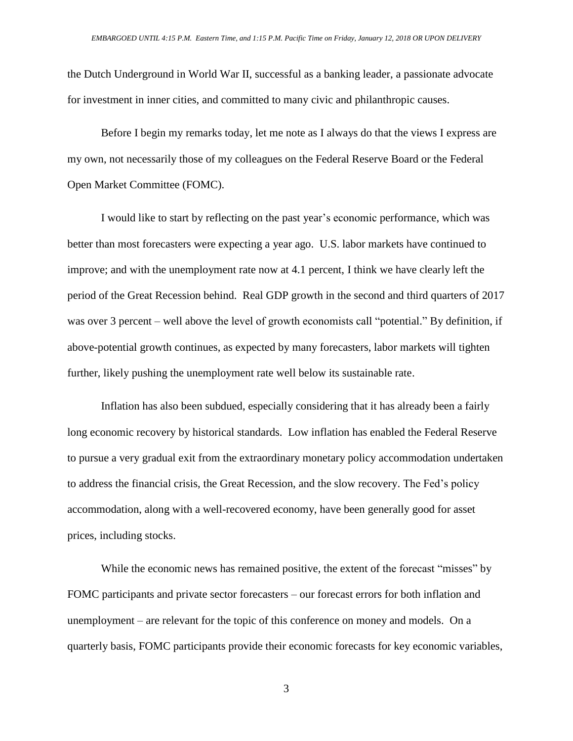the Dutch Underground in World War II, successful as a banking leader, a passionate advocate for investment in inner cities, and committed to many civic and philanthropic causes.

Before I begin my remarks today, let me note as I always do that the views I express are my own, not necessarily those of my colleagues on the Federal Reserve Board or the Federal Open Market Committee (FOMC).

I would like to start by reflecting on the past year's economic performance, which was better than most forecasters were expecting a year ago. U.S. labor markets have continued to improve; and with the unemployment rate now at 4.1 percent, I think we have clearly left the period of the Great Recession behind. Real GDP growth in the second and third quarters of 2017 was over 3 percent – well above the level of growth economists call "potential." By definition, if above-potential growth continues, as expected by many forecasters, labor markets will tighten further, likely pushing the unemployment rate well below its sustainable rate.

Inflation has also been subdued, especially considering that it has already been a fairly long economic recovery by historical standards. Low inflation has enabled the Federal Reserve to pursue a very gradual exit from the extraordinary monetary policy accommodation undertaken to address the financial crisis, the Great Recession, and the slow recovery. The Fed's policy accommodation, along with a well-recovered economy, have been generally good for asset prices, including stocks.

While the economic news has remained positive, the extent of the forecast "misses" by FOMC participants and private sector forecasters – our forecast errors for both inflation and unemployment – are relevant for the topic of this conference on money and models. On a quarterly basis, FOMC participants provide their economic forecasts for key economic variables,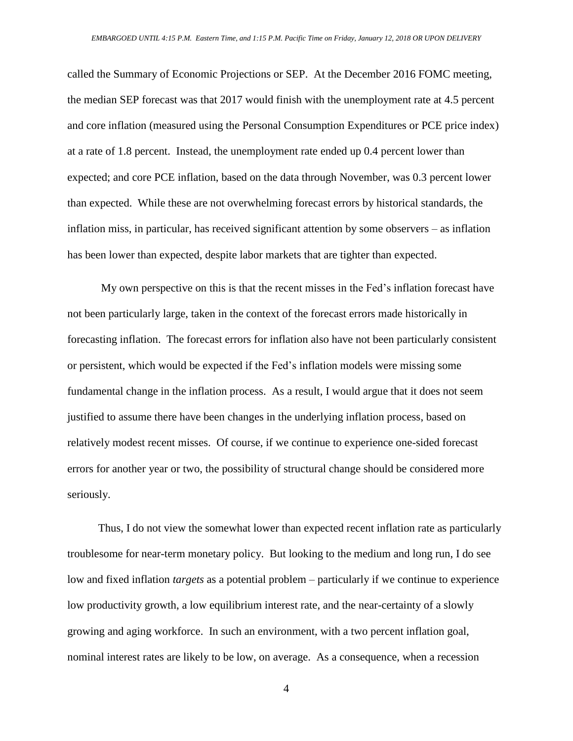called the Summary of Economic Projections or SEP. At the December 2016 FOMC meeting, the median SEP forecast was that 2017 would finish with the unemployment rate at 4.5 percent and core inflation (measured using the Personal Consumption Expenditures or PCE price index) at a rate of 1.8 percent. Instead, the unemployment rate ended up 0.4 percent lower than expected; and core PCE inflation, based on the data through November, was 0.3 percent lower than expected. While these are not overwhelming forecast errors by historical standards, the inflation miss, in particular, has received significant attention by some observers – as inflation has been lower than expected, despite labor markets that are tighter than expected.

My own perspective on this is that the recent misses in the Fed's inflation forecast have not been particularly large, taken in the context of the forecast errors made historically in forecasting inflation. The forecast errors for inflation also have not been particularly consistent or persistent, which would be expected if the Fed's inflation models were missing some fundamental change in the inflation process. As a result, I would argue that it does not seem justified to assume there have been changes in the underlying inflation process, based on relatively modest recent misses. Of course, if we continue to experience one-sided forecast errors for another year or two, the possibility of structural change should be considered more seriously.

 Thus, I do not view the somewhat lower than expected recent inflation rate as particularly troublesome for near-term monetary policy. But looking to the medium and long run, I do see low and fixed inflation *targets* as a potential problem – particularly if we continue to experience low productivity growth, a low equilibrium interest rate, and the near-certainty of a slowly growing and aging workforce. In such an environment, with a two percent inflation goal, nominal interest rates are likely to be low, on average. As a consequence, when a recession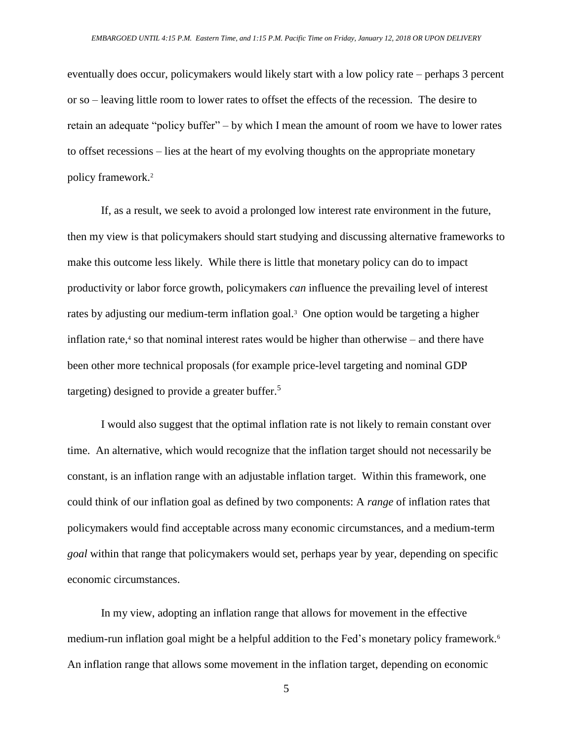eventually does occur, policymakers would likely start with a low policy rate – perhaps 3 percent or so – leaving little room to lower rates to offset the effects of the recession. The desire to retain an adequate "policy buffer" – by which I mean the amount of room we have to lower rates to offset recessions – lies at the heart of my evolving thoughts on the appropriate monetary policy framework.<sup>2</sup>

If, as a result, we seek to avoid a prolonged low interest rate environment in the future, then my view is that policymakers should start studying and discussing alternative frameworks to make this outcome less likely. While there is little that monetary policy can do to impact productivity or labor force growth, policymakers *can* influence the prevailing level of interest rates by adjusting our medium-term inflation goal.<sup>3</sup> One option would be targeting a higher inflation rate, $4$  so that nominal interest rates would be higher than otherwise – and there have been other more technical proposals (for example price-level targeting and nominal GDP targeting) designed to provide a greater buffer. 5

I would also suggest that the optimal inflation rate is not likely to remain constant over time. An alternative, which would recognize that the inflation target should not necessarily be constant, is an inflation range with an adjustable inflation target. Within this framework, one could think of our inflation goal as defined by two components: A *range* of inflation rates that policymakers would find acceptable across many economic circumstances, and a medium-term *goal* within that range that policymakers would set, perhaps year by year, depending on specific economic circumstances.

In my view, adopting an inflation range that allows for movement in the effective medium-run inflation goal might be a helpful addition to the Fed's monetary policy framework.<sup>6</sup> An inflation range that allows some movement in the inflation target, depending on economic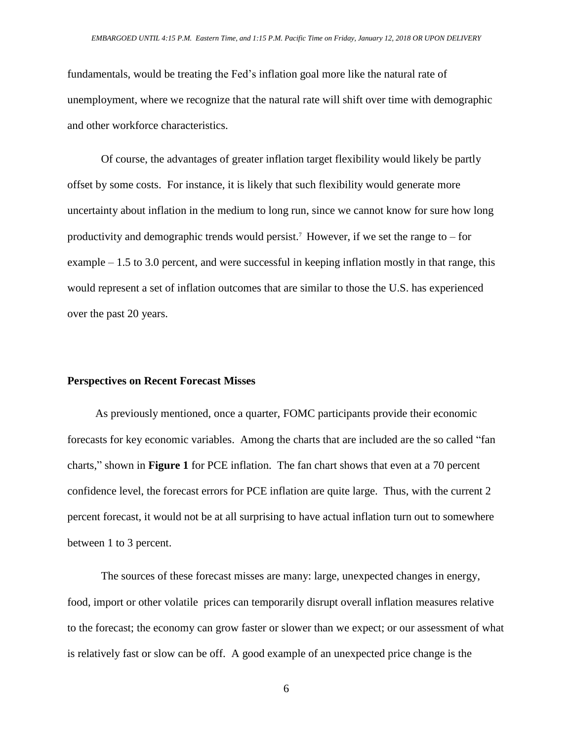fundamentals, would be treating the Fed's inflation goal more like the natural rate of unemployment, where we recognize that the natural rate will shift over time with demographic and other workforce characteristics.

Of course, the advantages of greater inflation target flexibility would likely be partly offset by some costs. For instance, it is likely that such flexibility would generate more uncertainty about inflation in the medium to long run, since we cannot know for sure how long productivity and demographic trends would persist.<sup>7</sup> However, if we set the range to – for example – 1.5 to 3.0 percent, and were successful in keeping inflation mostly in that range, this would represent a set of inflation outcomes that are similar to those the U.S. has experienced over the past 20 years.

## **Perspectives on Recent Forecast Misses**

 As previously mentioned, once a quarter, FOMC participants provide their economic forecasts for key economic variables. Among the charts that are included are the so called "fan charts," shown in **Figure 1** for PCE inflation. The fan chart shows that even at a 70 percent confidence level, the forecast errors for PCE inflation are quite large. Thus, with the current 2 percent forecast, it would not be at all surprising to have actual inflation turn out to somewhere between 1 to 3 percent.

The sources of these forecast misses are many: large, unexpected changes in energy, food, import or other volatile prices can temporarily disrupt overall inflation measures relative to the forecast; the economy can grow faster or slower than we expect; or our assessment of what is relatively fast or slow can be off. A good example of an unexpected price change is the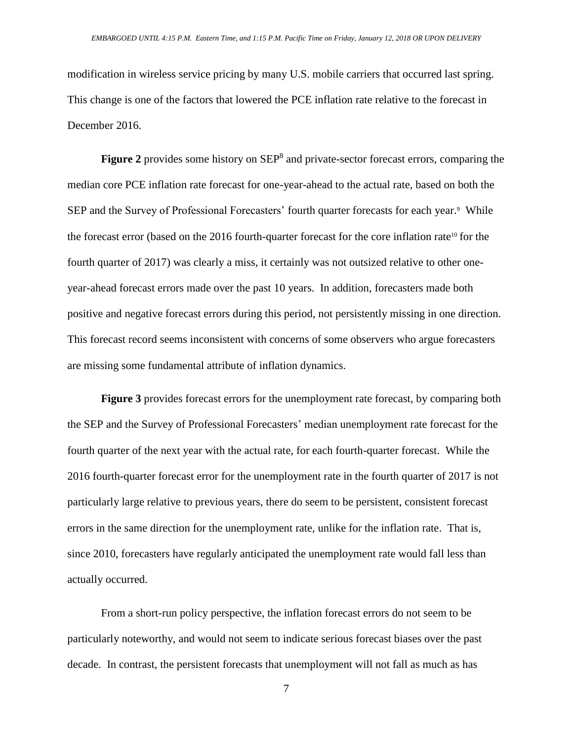modification in wireless service pricing by many U.S. mobile carriers that occurred last spring. This change is one of the factors that lowered the PCE inflation rate relative to the forecast in December 2016.

Figure 2 provides some history on SEP<sup>8</sup> and private-sector forecast errors, comparing the median core PCE inflation rate forecast for one-year-ahead to the actual rate, based on both the SEP and the Survey of Professional Forecasters' fourth quarter forecasts for each year.<sup>9</sup> While the forecast error (based on the 2016 fourth-quarter forecast for the core inflation rate<sup>10</sup> for the fourth quarter of 2017) was clearly a miss, it certainly was not outsized relative to other oneyear-ahead forecast errors made over the past 10 years. In addition, forecasters made both positive and negative forecast errors during this period, not persistently missing in one direction. This forecast record seems inconsistent with concerns of some observers who argue forecasters are missing some fundamental attribute of inflation dynamics.

**Figure 3** provides forecast errors for the unemployment rate forecast, by comparing both the SEP and the Survey of Professional Forecasters' median unemployment rate forecast for the fourth quarter of the next year with the actual rate, for each fourth-quarter forecast. While the 2016 fourth-quarter forecast error for the unemployment rate in the fourth quarter of 2017 is not particularly large relative to previous years, there do seem to be persistent, consistent forecast errors in the same direction for the unemployment rate, unlike for the inflation rate. That is, since 2010, forecasters have regularly anticipated the unemployment rate would fall less than actually occurred.

From a short-run policy perspective, the inflation forecast errors do not seem to be particularly noteworthy, and would not seem to indicate serious forecast biases over the past decade. In contrast, the persistent forecasts that unemployment will not fall as much as has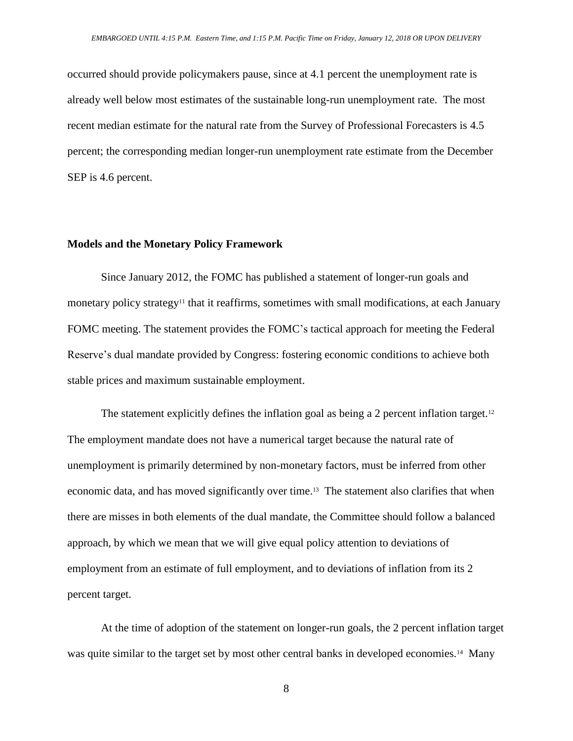occurred should provide policymakers pause, since at 4.1 percent the unemployment rate is already well below most estimates of the sustainable long-run unemployment rate. The most recent median estimate for the natural rate from the Survey of Professional Forecasters is 4.5 percent; the corresponding median longer-run unemployment rate estimate from the December SEP is 4.6 percent.

## **Models and the Monetary Policy Framework**

Since January 2012, the FOMC has published a statement of longer-run goals and monetary policy strategy<sup>11</sup> that it reaffirms, sometimes with small modifications, at each January FOMC meeting. The statement provides the FOMC's tactical approach for meeting the Federal Reserve's dual mandate provided by Congress: fostering economic conditions to achieve both stable prices and maximum sustainable employment.

The statement explicitly defines the inflation goal as being a 2 percent inflation target.<sup>12</sup> The employment mandate does not have a numerical target because the natural rate of unemployment is primarily determined by non-monetary factors, must be inferred from other economic data, and has moved significantly over time.<sup>13</sup> The statement also clarifies that when there are misses in both elements of the dual mandate, the Committee should follow a balanced approach, by which we mean that we will give equal policy attention to deviations of employment from an estimate of full employment, and to deviations of inflation from its 2 percent target.

At the time of adoption of the statement on longer-run goals, the 2 percent inflation target was quite similar to the target set by most other central banks in developed economies.<sup>14</sup> Many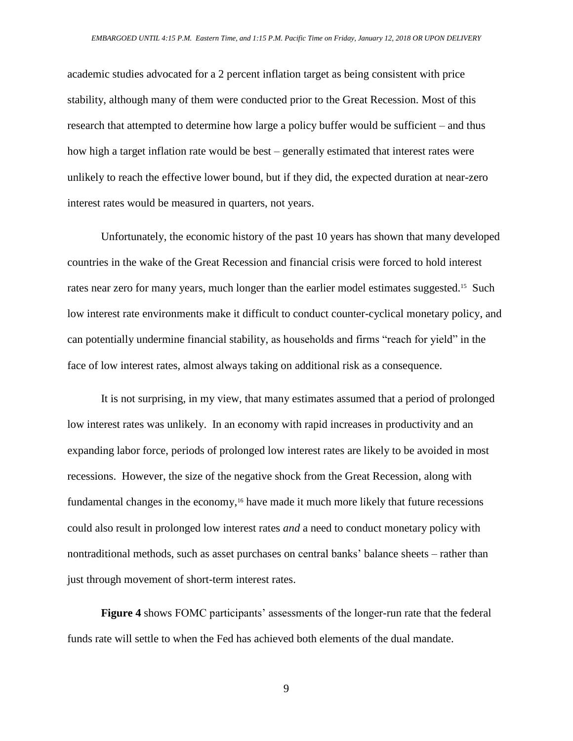academic studies advocated for a 2 percent inflation target as being consistent with price stability, although many of them were conducted prior to the Great Recession. Most of this research that attempted to determine how large a policy buffer would be sufficient – and thus how high a target inflation rate would be best – generally estimated that interest rates were unlikely to reach the effective lower bound, but if they did, the expected duration at near-zero interest rates would be measured in quarters, not years.

Unfortunately, the economic history of the past 10 years has shown that many developed countries in the wake of the Great Recession and financial crisis were forced to hold interest rates near zero for many years, much longer than the earlier model estimates suggested.<sup>15</sup> Such low interest rate environments make it difficult to conduct counter-cyclical monetary policy, and can potentially undermine financial stability, as households and firms "reach for yield" in the face of low interest rates, almost always taking on additional risk as a consequence.

It is not surprising, in my view, that many estimates assumed that a period of prolonged low interest rates was unlikely. In an economy with rapid increases in productivity and an expanding labor force, periods of prolonged low interest rates are likely to be avoided in most recessions. However, the size of the negative shock from the Great Recession, along with fundamental changes in the economy,<sup>16</sup> have made it much more likely that future recessions could also result in prolonged low interest rates *and* a need to conduct monetary policy with nontraditional methods, such as asset purchases on central banks' balance sheets – rather than just through movement of short-term interest rates.

**Figure 4** shows FOMC participants' assessments of the longer-run rate that the federal funds rate will settle to when the Fed has achieved both elements of the dual mandate.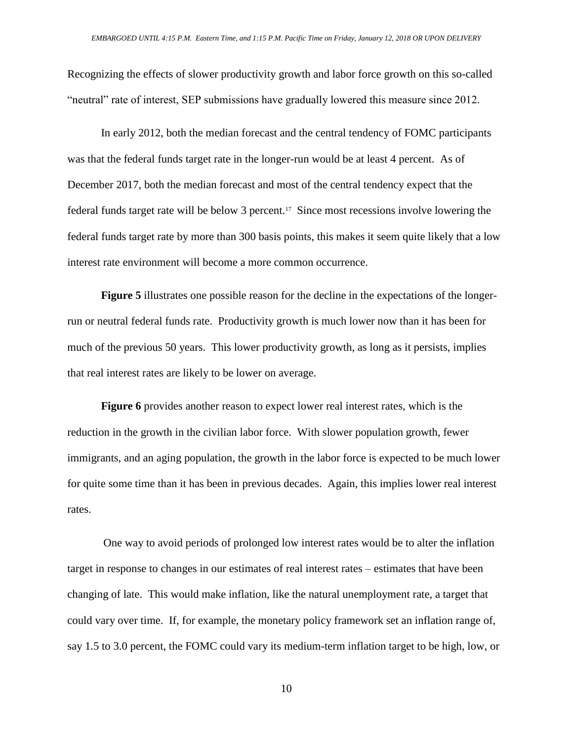Recognizing the effects of slower productivity growth and labor force growth on this so-called "neutral" rate of interest, SEP submissions have gradually lowered this measure since 2012.

In early 2012, both the median forecast and the central tendency of FOMC participants was that the federal funds target rate in the longer-run would be at least 4 percent. As of December 2017, both the median forecast and most of the central tendency expect that the federal funds target rate will be below 3 percent.<sup>17</sup> Since most recessions involve lowering the federal funds target rate by more than 300 basis points, this makes it seem quite likely that a low interest rate environment will become a more common occurrence.

**Figure 5** illustrates one possible reason for the decline in the expectations of the longerrun or neutral federal funds rate. Productivity growth is much lower now than it has been for much of the previous 50 years. This lower productivity growth, as long as it persists, implies that real interest rates are likely to be lower on average.

**Figure 6** provides another reason to expect lower real interest rates, which is the reduction in the growth in the civilian labor force. With slower population growth, fewer immigrants, and an aging population, the growth in the labor force is expected to be much lower for quite some time than it has been in previous decades. Again, this implies lower real interest rates.

One way to avoid periods of prolonged low interest rates would be to alter the inflation target in response to changes in our estimates of real interest rates – estimates that have been changing of late. This would make inflation, like the natural unemployment rate, a target that could vary over time. If, for example, the monetary policy framework set an inflation range of, say 1.5 to 3.0 percent, the FOMC could vary its medium-term inflation target to be high, low, or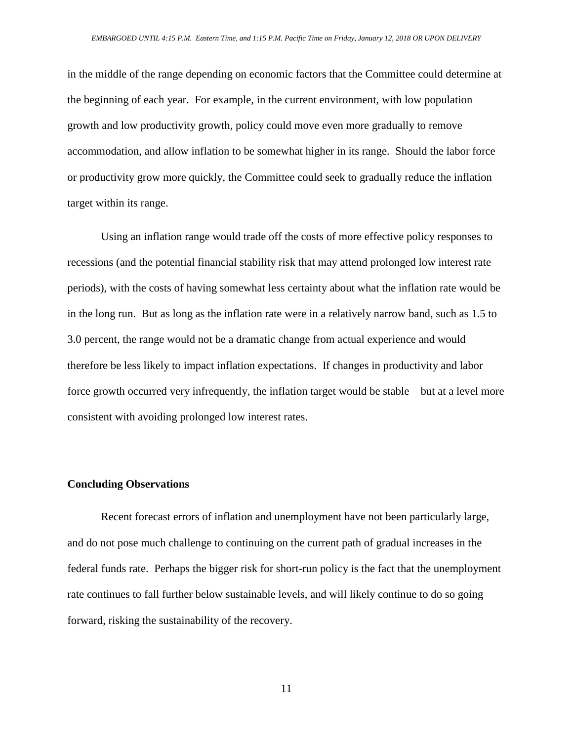in the middle of the range depending on economic factors that the Committee could determine at the beginning of each year. For example, in the current environment, with low population growth and low productivity growth, policy could move even more gradually to remove accommodation, and allow inflation to be somewhat higher in its range. Should the labor force or productivity grow more quickly, the Committee could seek to gradually reduce the inflation target within its range.

Using an inflation range would trade off the costs of more effective policy responses to recessions (and the potential financial stability risk that may attend prolonged low interest rate periods), with the costs of having somewhat less certainty about what the inflation rate would be in the long run. But as long as the inflation rate were in a relatively narrow band, such as 1.5 to 3.0 percent, the range would not be a dramatic change from actual experience and would therefore be less likely to impact inflation expectations. If changes in productivity and labor force growth occurred very infrequently, the inflation target would be stable – but at a level more consistent with avoiding prolonged low interest rates.

## **Concluding Observations**

Recent forecast errors of inflation and unemployment have not been particularly large, and do not pose much challenge to continuing on the current path of gradual increases in the federal funds rate. Perhaps the bigger risk for short-run policy is the fact that the unemployment rate continues to fall further below sustainable levels, and will likely continue to do so going forward, risking the sustainability of the recovery.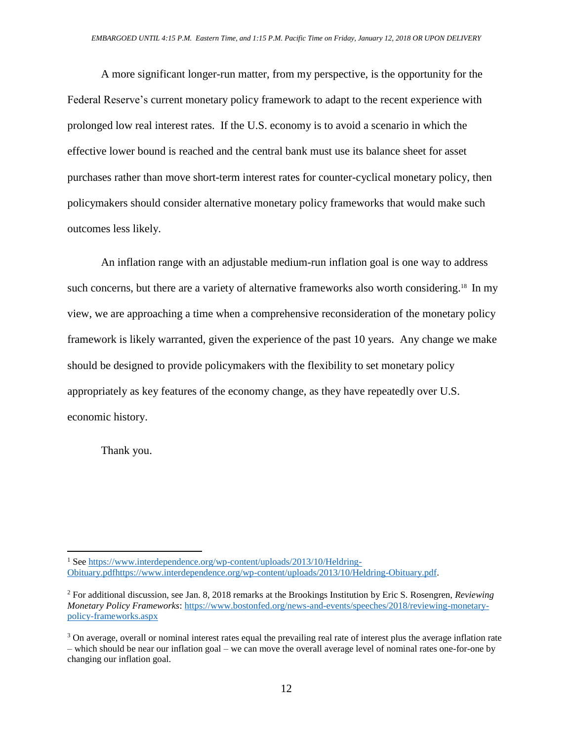A more significant longer-run matter, from my perspective, is the opportunity for the Federal Reserve's current monetary policy framework to adapt to the recent experience with prolonged low real interest rates. If the U.S. economy is to avoid a scenario in which the effective lower bound is reached and the central bank must use its balance sheet for asset purchases rather than move short-term interest rates for counter-cyclical monetary policy, then policymakers should consider alternative monetary policy frameworks that would make such outcomes less likely.

An inflation range with an adjustable medium-run inflation goal is one way to address such concerns, but there are a variety of alternative frameworks also worth considering.<sup>18</sup> In my view, we are approaching a time when a comprehensive reconsideration of the monetary policy framework is likely warranted, given the experience of the past 10 years. Any change we make should be designed to provide policymakers with the flexibility to set monetary policy appropriately as key features of the economy change, as they have repeatedly over U.S. economic history.

Thank you.

 $\overline{a}$ 

<sup>&</sup>lt;sup>1</sup> Se[e https://www.interdependence.org/wp-content/uploads/2013/10/Heldring-](https://www.interdependence.org/wp-content/uploads/2013/10/Heldring-Obituary.pdfhttps:/www.interdependence.org/wp-content/uploads/2013/10/Heldring-Obituary.pdf)[Obituary.pdfhttps://www.interdependence.org/wp-content/uploads/2013/10/Heldring-Obituary.pdf.](https://www.interdependence.org/wp-content/uploads/2013/10/Heldring-Obituary.pdfhttps:/www.interdependence.org/wp-content/uploads/2013/10/Heldring-Obituary.pdf)

<sup>2</sup> For additional discussion, see Jan. 8, 2018 remarks at the Brookings Institution by Eric S. Rosengren, *Reviewing Monetary Policy Frameworks*: [https://www.bostonfed.org/news-and-events/speeches/2018/reviewing-monetary](https://www.bostonfed.org/news-and-events/speeches/2018/reviewing-monetary-policy-frameworks.aspx)[policy-frameworks.aspx](https://www.bostonfed.org/news-and-events/speeches/2018/reviewing-monetary-policy-frameworks.aspx)

<sup>&</sup>lt;sup>3</sup> On average, overall or nominal interest rates equal the prevailing real rate of interest plus the average inflation rate – which should be near our inflation goal – we can move the overall average level of nominal rates one-for-one by changing our inflation goal.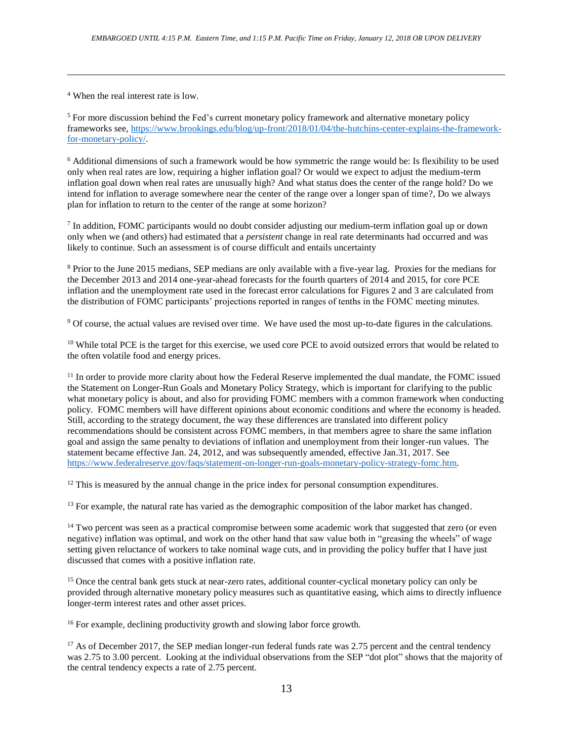<sup>4</sup> When the real interest rate is low.

 $\overline{a}$ 

<sup>5</sup> For more discussion behind the Fed's current monetary policy framework and alternative monetary policy frameworks see, [https://www.brookings.edu/blog/up-front/2018/01/04/the-hutchins-center-explains-the-framework](https://www.brookings.edu/blog/up-front/2018/01/04/the-hutchins-center-explains-the-framework-for-monetary-policy/)[for-monetary-policy/.](https://www.brookings.edu/blog/up-front/2018/01/04/the-hutchins-center-explains-the-framework-for-monetary-policy/)

<sup>6</sup> Additional dimensions of such a framework would be how symmetric the range would be: Is flexibility to be used only when real rates are low, requiring a higher inflation goal? Or would we expect to adjust the medium-term inflation goal down when real rates are unusually high? And what status does the center of the range hold? Do we intend for inflation to average somewhere near the center of the range over a longer span of time?, Do we always plan for inflation to return to the center of the range at some horizon?

<sup>7</sup> In addition, FOMC participants would no doubt consider adjusting our medium-term inflation goal up or down only when we (and others) had estimated that a *persistent* change in real rate determinants had occurred and was likely to continue. Such an assessment is of course difficult and entails uncertainty

<sup>8</sup> Prior to the June 2015 medians, SEP medians are only available with a five-year lag. Proxies for the medians for the December 2013 and 2014 one-year-ahead forecasts for the fourth quarters of 2014 and 2015, for core PCE inflation and the unemployment rate used in the forecast error calculations for Figures 2 and 3 are calculated from the distribution of FOMC participants' projections reported in ranges of tenths in the FOMC meeting minutes.

<sup>9</sup> Of course, the actual values are revised over time. We have used the most up-to-date figures in the calculations.

<sup>10</sup> While total PCE is the target for this exercise, we used core PCE to avoid outsized errors that would be related to the often volatile food and energy prices.

<sup>11</sup> In order to provide more clarity about how the Federal Reserve implemented the dual mandate, the FOMC issued the Statement on Longer-Run Goals and Monetary Policy Strategy, which is important for clarifying to the public what monetary policy is about, and also for providing FOMC members with a common framework when conducting policy. FOMC members will have different opinions about economic conditions and where the economy is headed. Still, according to the strategy document, the way these differences are translated into different policy recommendations should be consistent across FOMC members, in that members agree to share the same inflation goal and assign the same penalty to deviations of inflation and unemployment from their longer-run values. The statement became effective Jan. 24, 2012, and was subsequently amended, effective Jan.31, 2017. See [https://www.federalreserve.gov/faqs/statement-on-longer-run-goals-monetary-policy-strategy-fomc.htm.](https://www.federalreserve.gov/faqs/statement-on-longer-run-goals-monetary-policy-strategy-fomc.htm)

 $12$  This is measured by the annual change in the price index for personal consumption expenditures.

<sup>13</sup> For example, the natural rate has varied as the demographic composition of the labor market has changed.

<sup>14</sup> Two percent was seen as a practical compromise between some academic work that suggested that zero (or even negative) inflation was optimal, and work on the other hand that saw value both in "greasing the wheels" of wage setting given reluctance of workers to take nominal wage cuts, and in providing the policy buffer that I have just discussed that comes with a positive inflation rate.

<sup>15</sup> Once the central bank gets stuck at near-zero rates, additional counter-cyclical monetary policy can only be provided through alternative monetary policy measures such as quantitative easing, which aims to directly influence longer-term interest rates and other asset prices.

<sup>16</sup> For example, declining productivity growth and slowing labor force growth.

<sup>17</sup> As of December 2017, the SEP median longer-run federal funds rate was 2.75 percent and the central tendency was 2.75 to 3.00 percent. Looking at the individual observations from the SEP "dot plot" shows that the majority of the central tendency expects a rate of 2.75 percent.